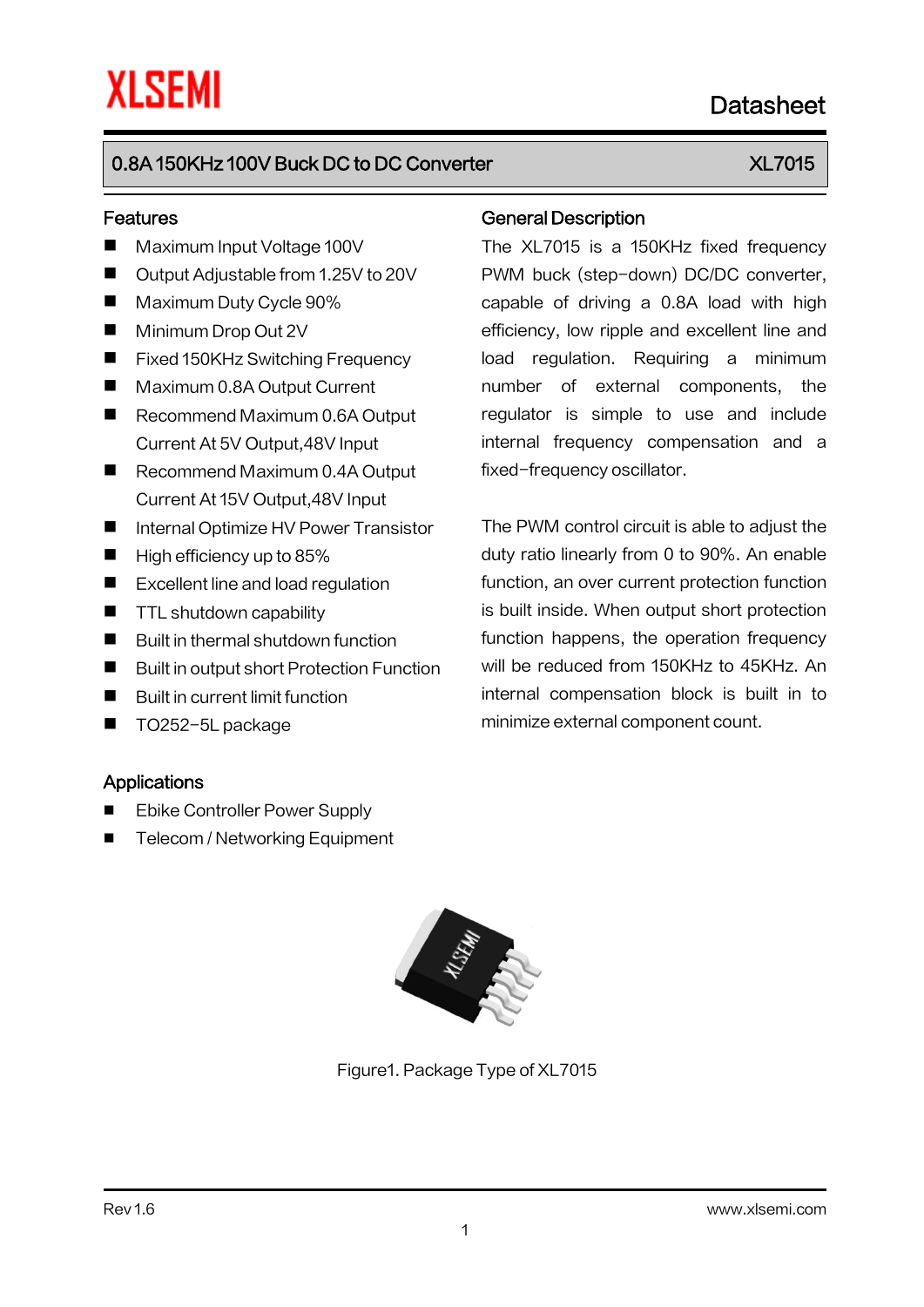# 0.8A 150KHz 100V Buck DC to DC Converter New York New YORK XL7015

#### Features

- Maximum Input Voltage 100V
- Output Adjustable from 1.25V to 20V
- **Maximum Duty Cycle 90%**
- **Minimum Drop Out 2V**
- Fixed 150KHz Switching Frequency
- Maximum 0.8A Output Current
- Recommend Maximum 0.6A Output Current At 5V Output,48V Input
- Recommend Maximum 0.4A Output Current At 15V Output,48V Input
- Internal Optimize HV Power Transistor
- $\blacksquare$  High efficiency up to 85%
- Excellent line and load regulation
- **TTL shutdown capability**
- Built in thermal shutdown function
- Built in output short Protection Function
- Built in current limit function
- TO252-5L package

#### **Applications**

- Ebike Controller Power Supply
- Telecom / Networking Equipment

#### General Description

The XL7015 is a 150KHz fixed frequency PWM buck (step-down) DC/DC converter, capable of driving a 0.8A load with high efficiency, low ripple and excellent line and load regulation. Requiring a minimum number of external components, the regulator is simple to use and include internal frequency compensation and a fixed-frequency oscillator.

The PWM control circuit is able to adjust the duty ratio linearly from 0 to 90%. An enable function, an over current protection function is built inside. When output short protection function happens, the operation frequency will be reduced from 150KHz to 45KHz. An internal compensation block is built in to minimize external component count.



Figure1. Package Type of XL7015

# Datasheet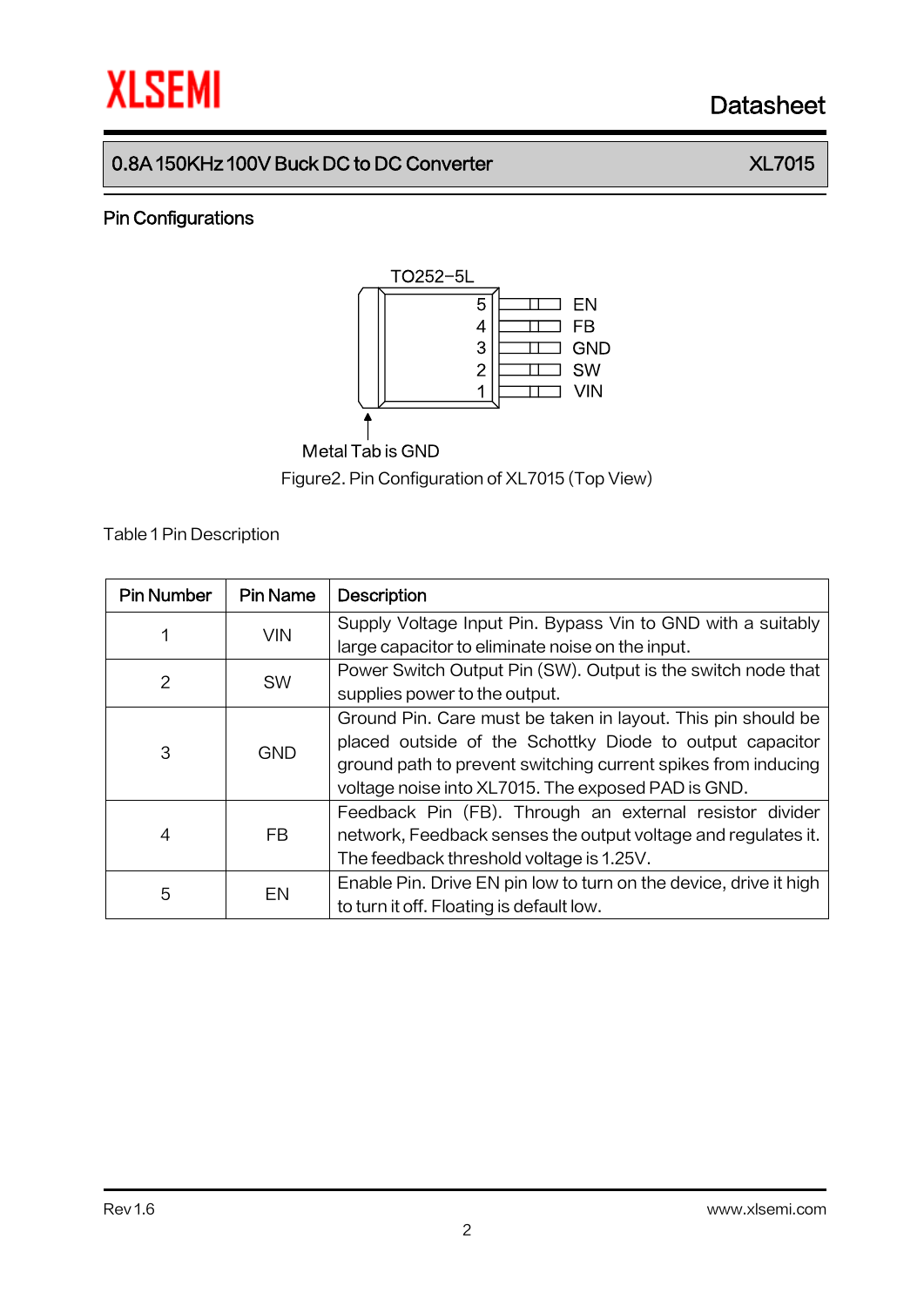# **XLSEMI** Datasheet

# 0.8A 150KHz 100V Buck DC to DC Converter **XL7015**

### Pin Configurations



# Metal Tab is GND

Figure2.Pin Configuration of XL7015 (Top View)

Table 1Pin Description

| <b>Pin Number</b> | <b>Pin Name</b> | <b>Description</b>                                                |
|-------------------|-----------------|-------------------------------------------------------------------|
|                   | <b>VIN</b>      | Supply Voltage Input Pin. Bypass Vin to GND with a suitably       |
|                   |                 | large capacitor to eliminate noise on the input.                  |
| 2                 | <b>SW</b>       | Power Switch Output Pin (SW). Output is the switch node that      |
|                   |                 | supplies power to the output.                                     |
| 3                 | <b>GND</b>      | Ground Pin. Care must be taken in layout. This pin should be      |
|                   |                 | placed outside of the Schottky Diode to output capacitor          |
|                   |                 | ground path to prevent switching current spikes from inducing     |
|                   |                 | voltage noise into XL7015. The exposed PAD is GND.                |
|                   | <b>FB</b>       | Feedback Pin (FB). Through an external resistor divider           |
| 4                 |                 | network, Feedback senses the output voltage and regulates it.     |
|                   |                 | The feedback threshold voltage is 1.25V.                          |
| 5                 | EN              | Enable Pin. Drive EN pin low to turn on the device, drive it high |
|                   |                 | to turn it off. Floating is default low.                          |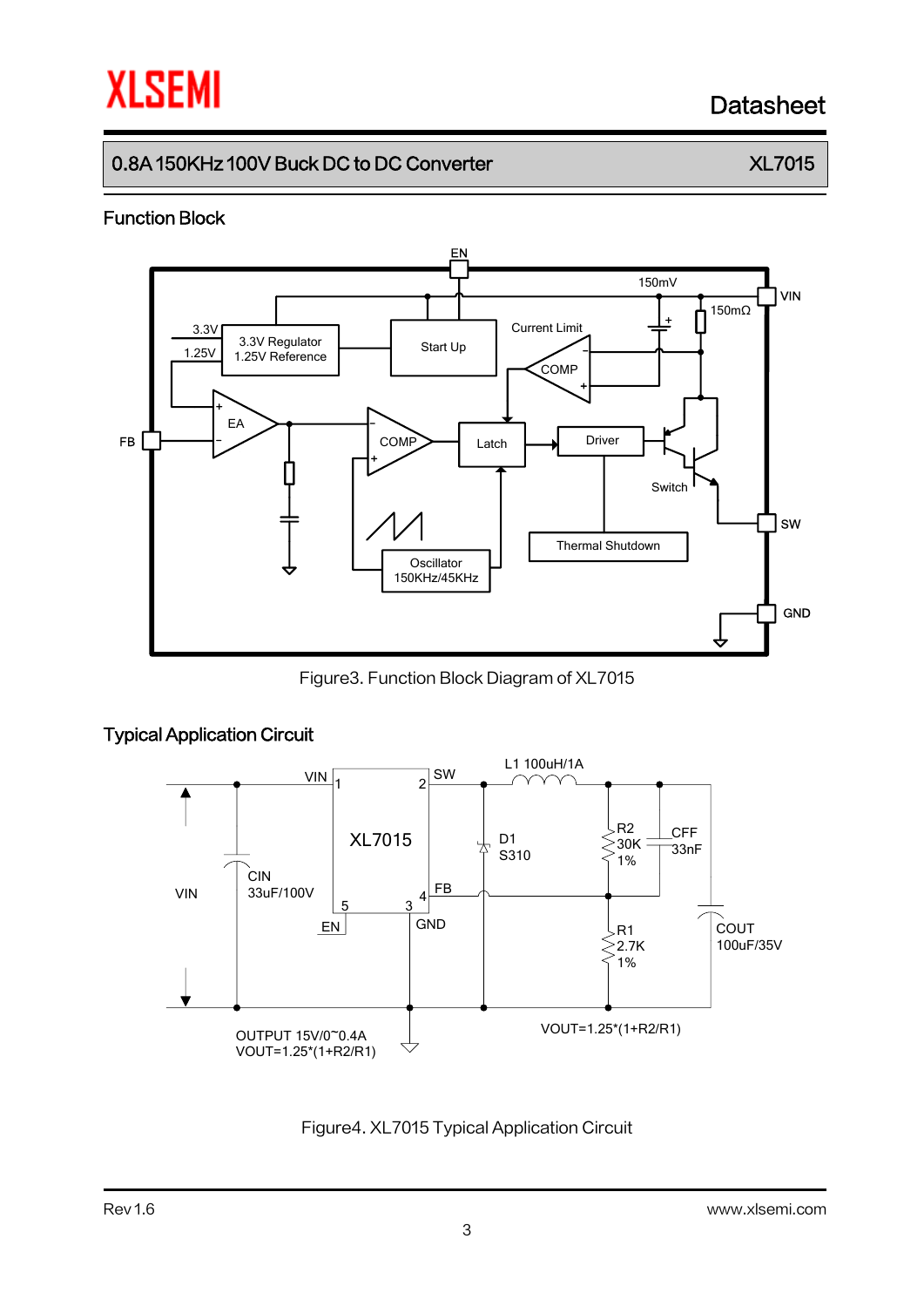# **XLSEMI** Datasheet

# 0.8A 150KHz 100V Buck DC to DC Converter  $X L 7015$

### Function Block



Figure3. Function Block Diagram of XL7015



#### Figure4. XL7015 Typical Application Circuit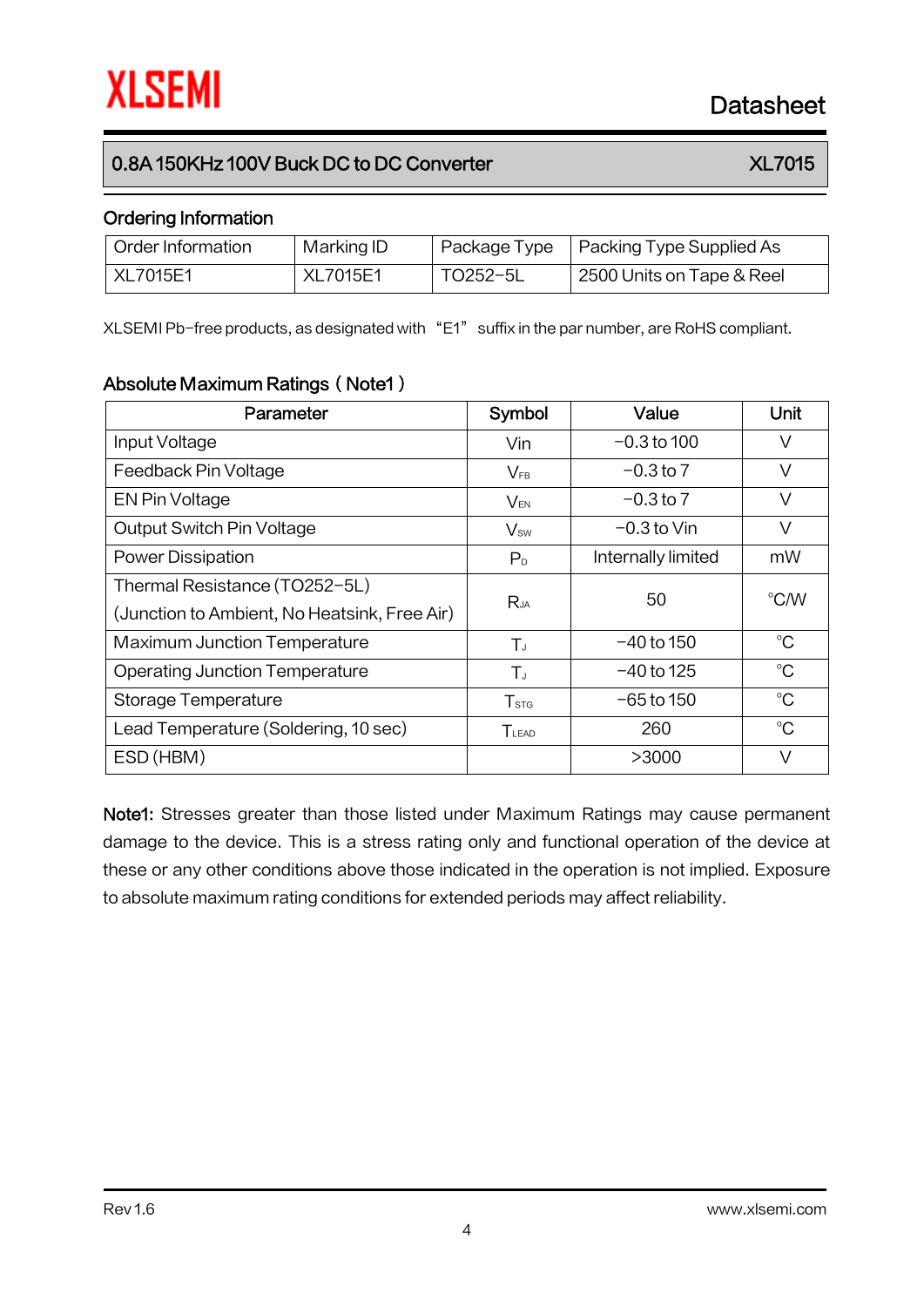### 0.8A 150KHz 100V Buck DC to DC Converter  $X L 7015$

#### Ordering Information

| Order Information | Marking ID      |          | Package Type   Packing Type Supplied As |
|-------------------|-----------------|----------|-----------------------------------------|
| XL7015E1          | <b>XL7015E1</b> | TO252-5L | 2500 Units on Tape & Reel               |

XLSEMI Pb-free products, as designated with "E1" suffix in the par number, are RoHS compliant.

### Absolute Maximum Ratings (Note1)

| Parameter                                    | Symbol           | Value              | Unit        |  |
|----------------------------------------------|------------------|--------------------|-------------|--|
| Input Voltage                                | Vin              | $-0.3$ to 100      | V           |  |
| Feedback Pin Voltage                         | $V_{FB}$         | $-0.3$ to 7        | V           |  |
| EN Pin Voltage                               | $V_{EN}$         | $-0.3$ to 7        | V           |  |
| Output Switch Pin Voltage                    | $V_{sw}$         | $-0.3$ to Vin      | V           |  |
| <b>Power Dissipation</b>                     | P <sub>D</sub>   | Internally limited | mW          |  |
| Thermal Resistance (TO252-5L)                |                  | 50                 | °C/W        |  |
| (Junction to Ambient, No Heatsink, Free Air) | $R_{JA}$         |                    |             |  |
| <b>Maximum Junction Temperature</b>          | $T_{J}$          | $-40$ to 150       | $^{\circ}C$ |  |
| <b>Operating Junction Temperature</b>        | $T_{J}$          | $-40$ to 125       | $^{\circ}C$ |  |
| Storage Temperature                          | T <sub>STG</sub> | $-65$ to 150       | $^{\circ}C$ |  |
| Lead Temperature (Soldering, 10 sec)         | $T_{LEAD}$       | 260                | $^{\circ}C$ |  |
| ESD (HBM)                                    |                  | >3000              | V           |  |

Note1: Stresses greater than those listed under Maximum Ratings may cause permanent damage to the device. This is a stress rating only and functional operation of the device at these or any other conditions above those indicated in the operation is not implied. Exposure to absolute maximum rating conditions for extended periods may affect reliability.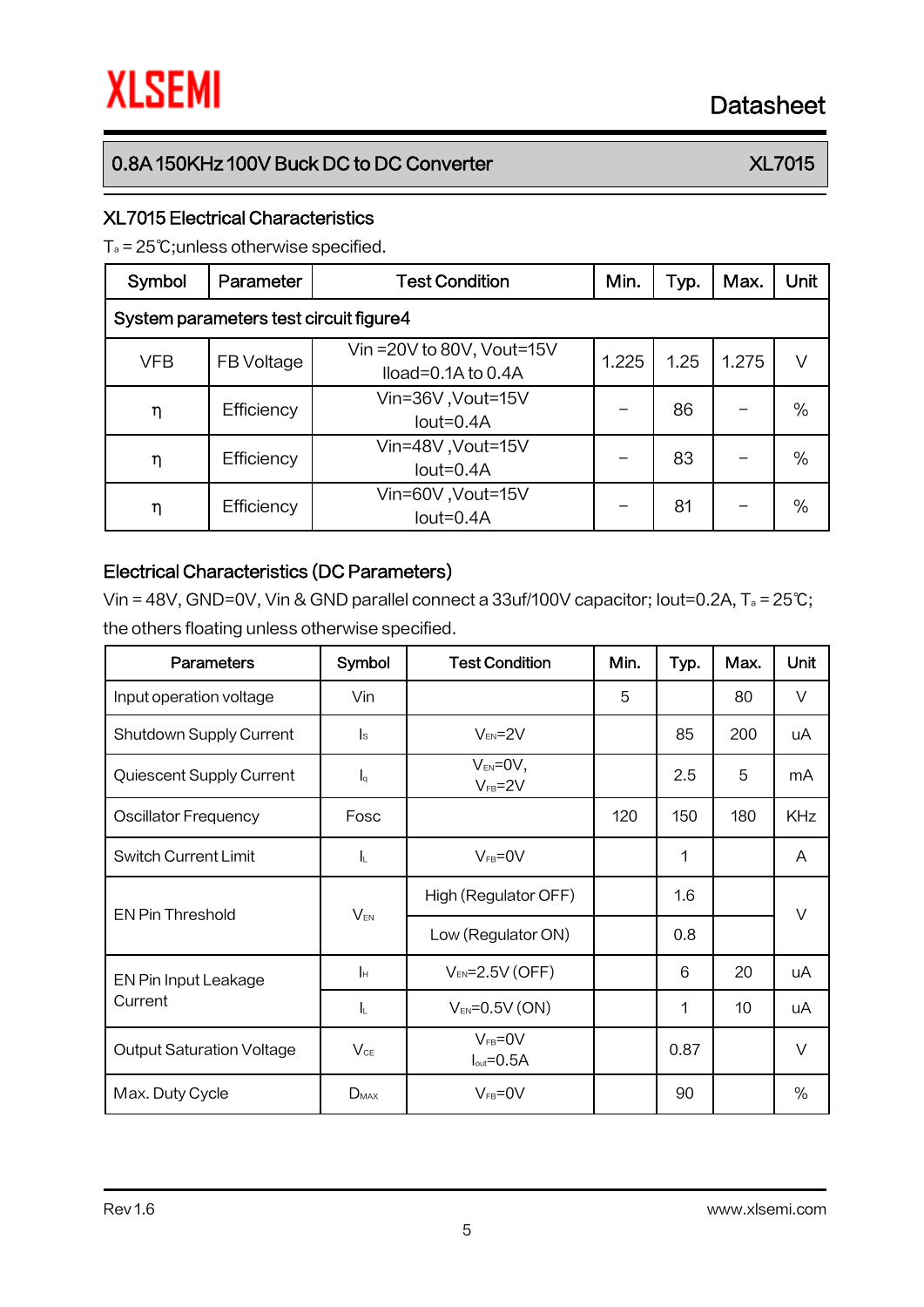## 0.8A 150KHz 100V Buck DC to DC Converter  $X L 7015$

#### XL7015 Electrical Characteristics

T<sup>a</sup> = 25℃;unless otherwise specified.

| Symbol                                 | Parameter  | <b>Test Condition</b>                                  | Min.  | Typ. | Max.  | Unit |  |
|----------------------------------------|------------|--------------------------------------------------------|-------|------|-------|------|--|
| System parameters test circuit figure4 |            |                                                        |       |      |       |      |  |
| <b>VFB</b>                             | FB Voltage | Vin = 20V to 80V, Vout=15V<br>$Iload = 0.1A$ to $0.4A$ | 1.225 | 1.25 | 1.275 | V    |  |
| η                                      | Efficiency | Vin=36V, Vout=15V<br>$Iout=0.4A$                       |       | 86   |       | %    |  |
| η                                      | Efficiency | Vin=48V, Vout=15V<br>$Iout=0.4A$                       |       | 83   |       | $\%$ |  |
| η                                      | Efficiency | Vin=60V, Vout=15V<br>$Iout=0.4A$                       |       | 81   |       | %    |  |

### Electrical Characteristics (DC Parameters)

Vin = 48V, GND=0V, Vin & GND parallel connect a 33uf/100V capacitor; Iout=0.2A, T<sup>a</sup> = 25℃; the others floating unless otherwise specified.

| <b>Parameters</b>                | Symbol                  | <b>Test Condition</b>                    | Min. | Typ. | Max. | Unit       |
|----------------------------------|-------------------------|------------------------------------------|------|------|------|------------|
| Input operation voltage          | Vin                     |                                          | 5    |      | 80   | V          |
| Shutdown Supply Current          | $\mathsf{I}_\mathsf{S}$ | $V_{EN} = 2V$                            |      | 85   | 200  | uA         |
| Quiescent Supply Current         | $I_q$                   | $V_{EN} = 0V$ ,<br>$V_{FB} = 2V$         |      | 2.5  | 5    | mA         |
| <b>Oscillator Frequency</b>      | Fosc                    |                                          | 120  | 150  | 180  | <b>KHz</b> |
| <b>Switch Current Limit</b>      | <b>I</b> L              | $V_{FB} = 0V$                            |      | 1    |      | A          |
|                                  | $V_{EN}$                | High (Regulator OFF)                     |      | 1.6  |      | $\vee$     |
| <b>EN Pin Threshold</b>          |                         | Low (Regulator ON)                       |      | 0.8  |      |            |
| EN Pin Input Leakage             | Iн                      | $V_{EN} = 2.5V$ (OFF)                    |      | 6    | 20   | uA         |
| Current                          | $I_L$                   | $V_{EN} = 0.5V (ON)$                     |      | 1    | 10   | uA         |
| <b>Output Saturation Voltage</b> | $V_{CE}$                | $V_{FB} = 0V$<br>$I_{\text{out}} = 0.5A$ |      | 0.87 |      | $\vee$     |
| Max. Duty Cycle                  | $D_{MAX}$               | $V_{FB} = 0V$                            |      | 90   |      | %          |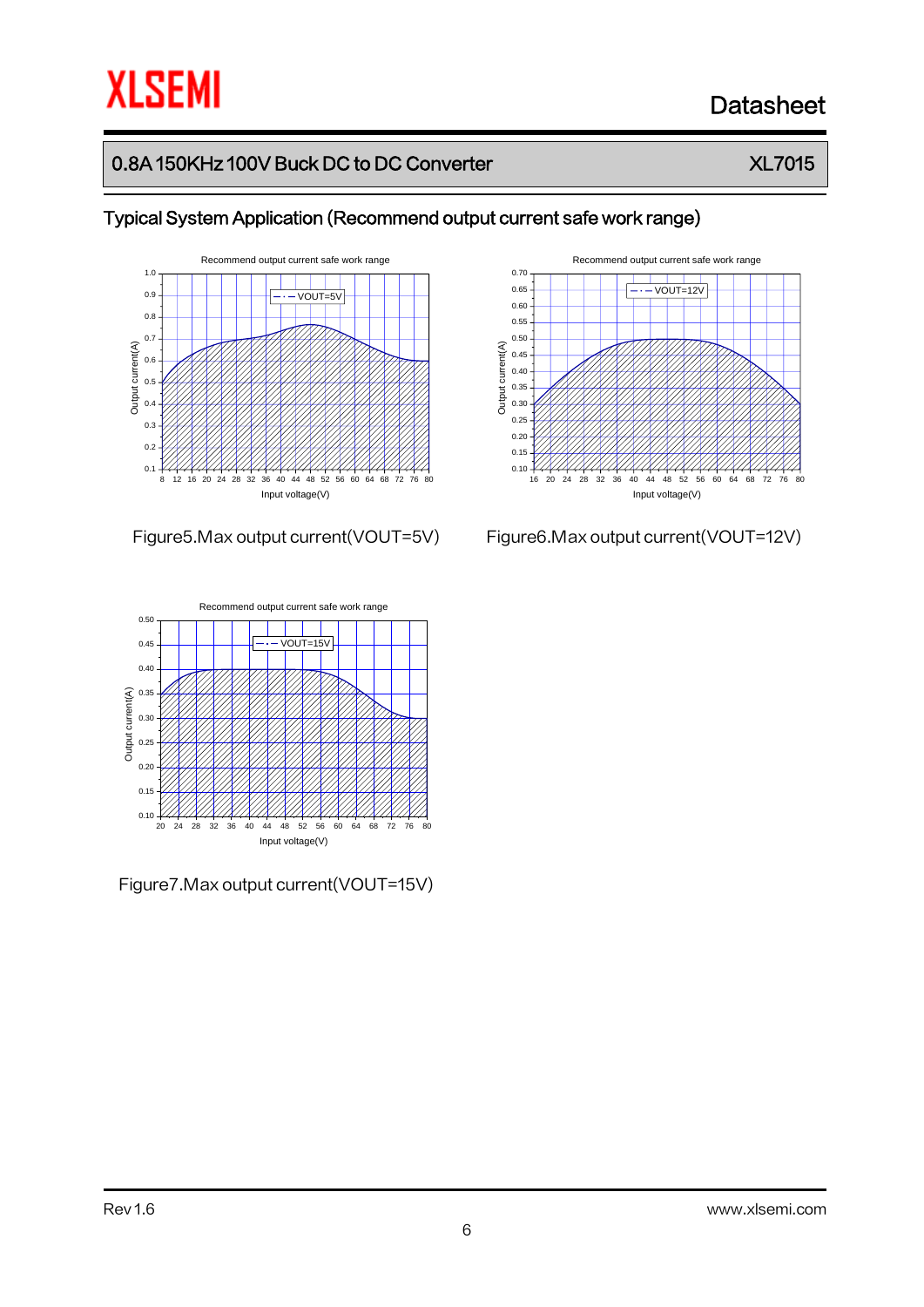# **XLSEMI**

# Datasheet

# 0.8A 150KHz 100V Buck DC to DC Converter  $X L 7015$

Typical System Application (Recommend output current safe work range)





Figure7.Max output current(VOUT=15V)



Figure5.Max output current(VOUT=5V) Figure6.Max output current(VOUT=12V)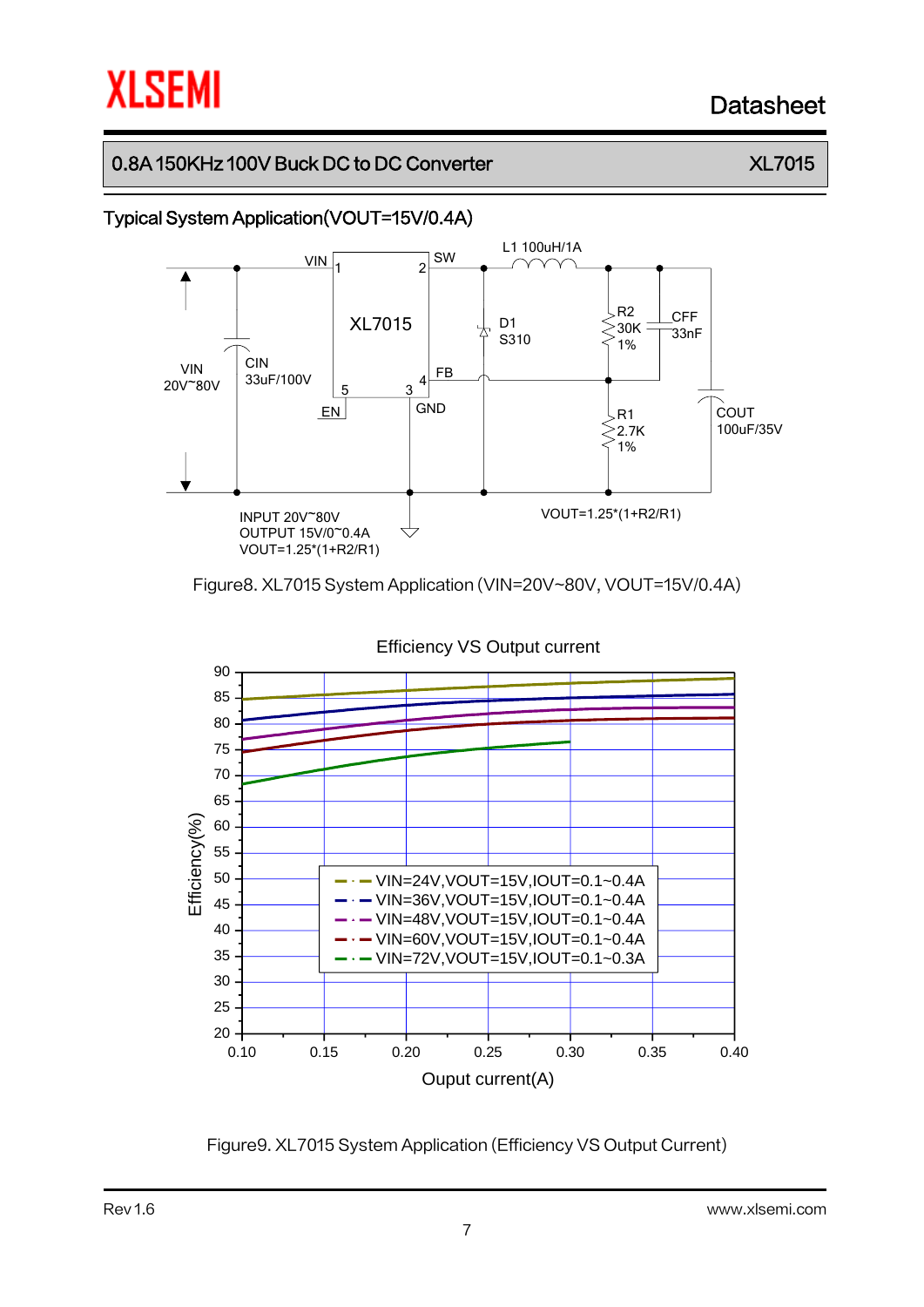# **XLSEMI**

# Datasheet

## 0.8A 150KHz 100V Buck DC to DC Converter  $X L 7015$

### Typical System Application(VOUT=15V/0.4A)



Figure8. XL7015 System Application (VIN=20V~80V, VOUT=15V/0.4A)



Figure9. XL7015 System Application (Efficiency VS Output Current)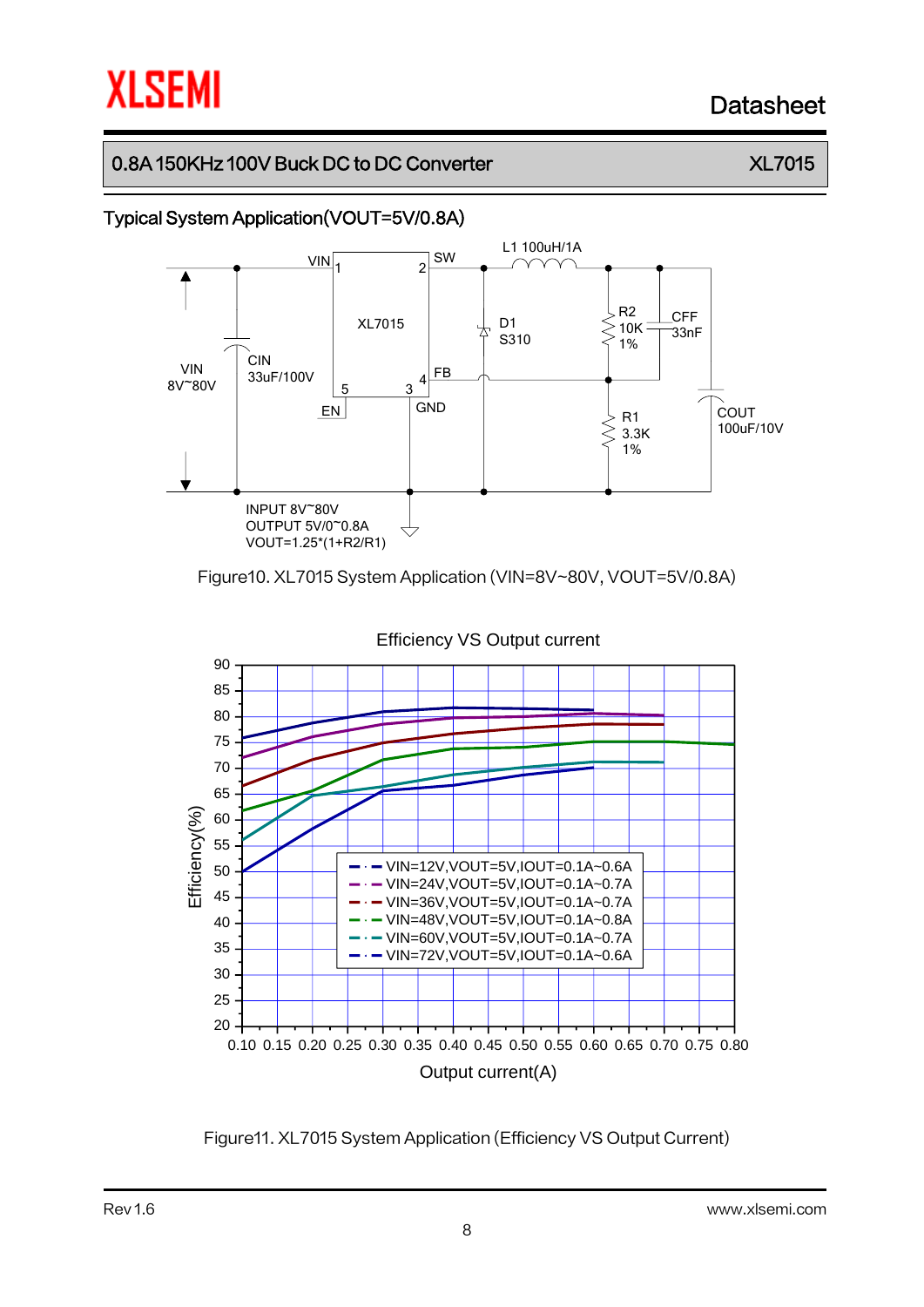# **XLSEMI**

# Datasheet

## 0.8A 150KHz 100V Buck DC to DC Converter  $X L 7015$



Figure10. XL7015 System Application (VIN=8V~80V, VOUT=5V/0.8A)



Figure11. XL7015 System Application (Efficiency VS Output Current)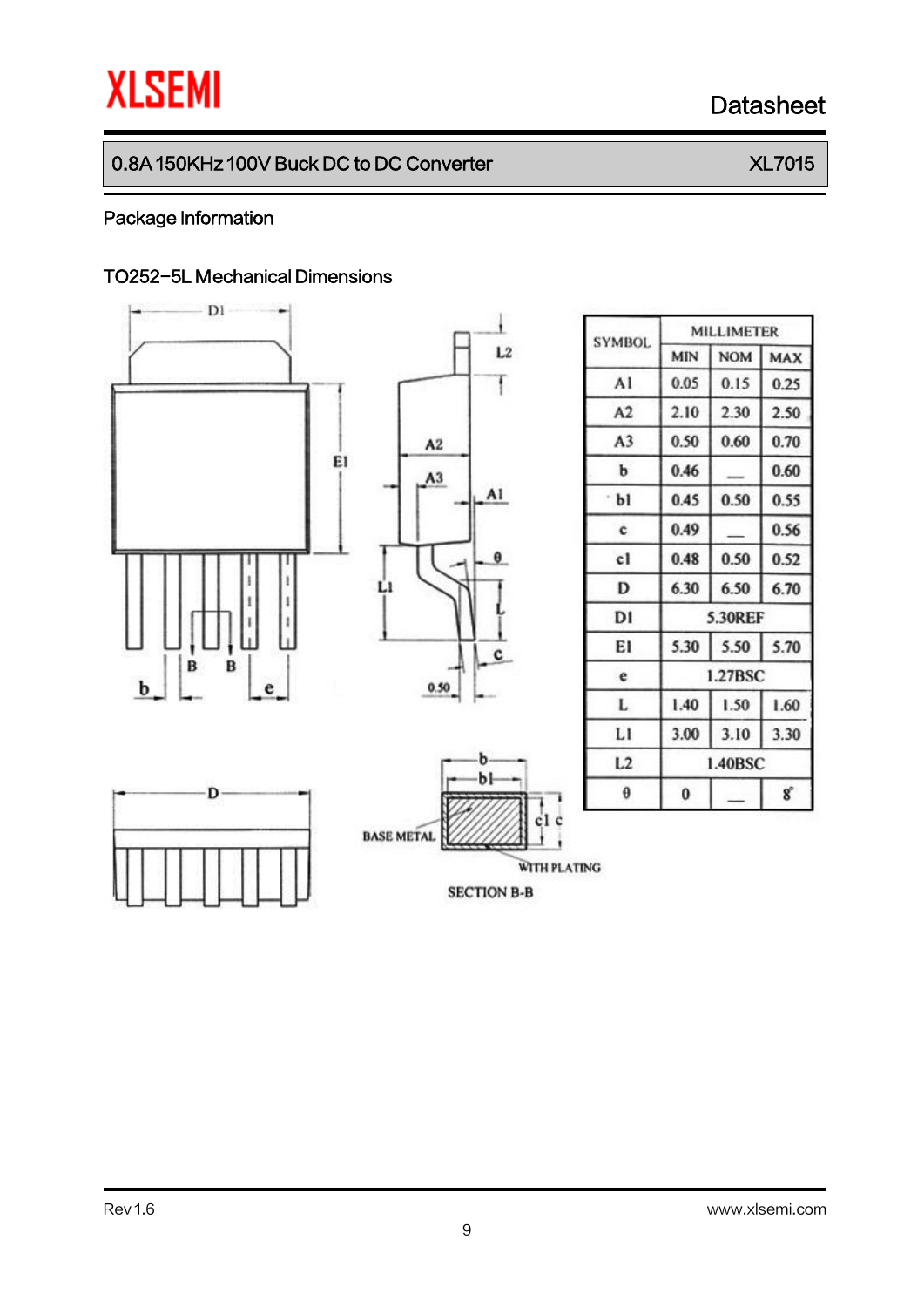# **XLSEMI** Datasheet

# 0.8A 150KHz 100V Buck DC to DC Converter  $X L 7015$

#### Package Information

#### TO252-5L Mechanical Dimensions